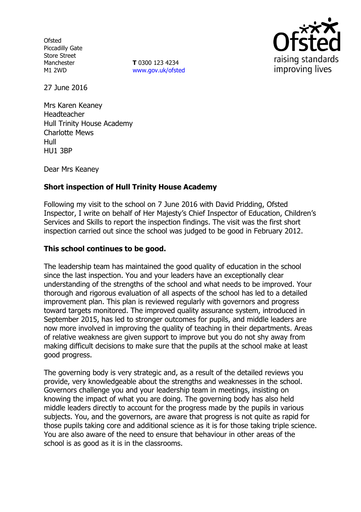**Ofsted** Piccadilly Gate Store Street Manchester M1 2WD

**T** 0300 123 4234 www.gov.uk/ofsted



27 June 2016

Mrs Karen Keaney Headteacher Hull Trinity House Academy Charlotte Mews Hull HU1 3BP

Dear Mrs Keaney

# **Short inspection of Hull Trinity House Academy**

Following my visit to the school on 7 June 2016 with David Pridding, Ofsted Inspector, I write on behalf of Her Majesty's Chief Inspector of Education, Children's Services and Skills to report the inspection findings. The visit was the first short inspection carried out since the school was judged to be good in February 2012.

#### **This school continues to be good.**

The leadership team has maintained the good quality of education in the school since the last inspection. You and your leaders have an exceptionally clear understanding of the strengths of the school and what needs to be improved. Your thorough and rigorous evaluation of all aspects of the school has led to a detailed improvement plan. This plan is reviewed regularly with governors and progress toward targets monitored. The improved quality assurance system, introduced in September 2015, has led to stronger outcomes for pupils, and middle leaders are now more involved in improving the quality of teaching in their departments. Areas of relative weakness are given support to improve but you do not shy away from making difficult decisions to make sure that the pupils at the school make at least good progress.

The governing body is very strategic and, as a result of the detailed reviews you provide, very knowledgeable about the strengths and weaknesses in the school. Governors challenge you and your leadership team in meetings, insisting on knowing the impact of what you are doing. The governing body has also held middle leaders directly to account for the progress made by the pupils in various subjects. You, and the governors, are aware that progress is not quite as rapid for those pupils taking core and additional science as it is for those taking triple science. You are also aware of the need to ensure that behaviour in other areas of the school is as good as it is in the classrooms.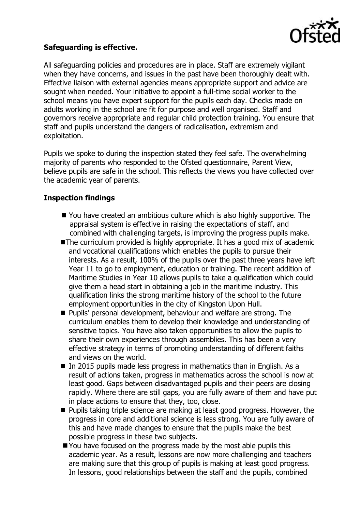

## **Safeguarding is effective.**

All safeguarding policies and procedures are in place. Staff are extremely vigilant when they have concerns, and issues in the past have been thoroughly dealt with. Effective liaison with external agencies means appropriate support and advice are sought when needed. Your initiative to appoint a full-time social worker to the school means you have expert support for the pupils each day. Checks made on adults working in the school are fit for purpose and well organised. Staff and governors receive appropriate and regular child protection training. You ensure that staff and pupils understand the dangers of radicalisation, extremism and exploitation.

Pupils we spoke to during the inspection stated they feel safe. The overwhelming majority of parents who responded to the Ofsted questionnaire, Parent View, believe pupils are safe in the school. This reflects the views you have collected over the academic year of parents.

## **Inspection findings**

- You have created an ambitious culture which is also highly supportive. The appraisal system is effective in raising the expectations of staff, and combined with challenging targets, is improving the progress pupils make.
- The curriculum provided is highly appropriate. It has a good mix of academic and vocational qualifications which enables the pupils to pursue their interests. As a result, 100% of the pupils over the past three years have left Year 11 to go to employment, education or training. The recent addition of Maritime Studies in Year 10 allows pupils to take a qualification which could give them a head start in obtaining a job in the maritime industry. This qualification links the strong maritime history of the school to the future employment opportunities in the city of Kingston Upon Hull.
- **Pupils' personal development, behaviour and welfare are strong. The** curriculum enables them to develop their knowledge and understanding of sensitive topics. You have also taken opportunities to allow the pupils to share their own experiences through assemblies. This has been a very effective strategy in terms of promoting understanding of different faiths and views on the world.
- In 2015 pupils made less progress in mathematics than in English. As a result of actions taken, progress in mathematics across the school is now at least good. Gaps between disadvantaged pupils and their peers are closing rapidly. Where there are still gaps, you are fully aware of them and have put in place actions to ensure that they, too, close.
- **Pupils taking triple science are making at least good progress. However, the** progress in core and additional science is less strong. You are fully aware of this and have made changes to ensure that the pupils make the best possible progress in these two subjects.
- You have focused on the progress made by the most able pupils this academic year. As a result, lessons are now more challenging and teachers are making sure that this group of pupils is making at least good progress. In lessons, good relationships between the staff and the pupils, combined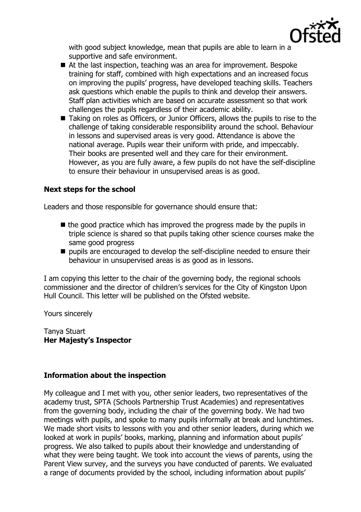

with good subject knowledge, mean that pupils are able to learn in a supportive and safe environment.

- At the last inspection, teaching was an area for improvement. Bespoke training for staff, combined with high expectations and an increased focus on improving the pupils' progress, have developed teaching skills. Teachers ask questions which enable the pupils to think and develop their answers. Staff plan activities which are based on accurate assessment so that work challenges the pupils regardless of their academic ability.
- Taking on roles as Officers, or Junior Officers, allows the pupils to rise to the challenge of taking considerable responsibility around the school. Behaviour in lessons and supervised areas is very good. Attendance is above the national average. Pupils wear their uniform with pride, and impeccably. Their books are presented well and they care for their environment. However, as you are fully aware, a few pupils do not have the self-discipline to ensure their behaviour in unsupervised areas is as good.

## **Next steps for the school**

Leaders and those responsible for governance should ensure that:

- $\blacksquare$  the good practice which has improved the progress made by the pupils in triple science is shared so that pupils taking other science courses make the same good progress
- $\blacksquare$  pupils are encouraged to develop the self-discipline needed to ensure their behaviour in unsupervised areas is as good as in lessons.

I am copying this letter to the chair of the governing body, the regional schools commissioner and the director of children's services for the City of Kingston Upon Hull Council. This letter will be published on the Ofsted website.

Yours sincerely

Tanya Stuart **Her Majesty's Inspector**

#### **Information about the inspection**

My colleague and I met with you, other senior leaders, two representatives of the academy trust, SPTA (Schools Partnership Trust Academies) and representatives from the governing body, including the chair of the governing body. We had two meetings with pupils, and spoke to many pupils informally at break and lunchtimes. We made short visits to lessons with you and other senior leaders, during which we looked at work in pupils' books, marking, planning and information about pupils' progress. We also talked to pupils about their knowledge and understanding of what they were being taught. We took into account the views of parents, using the Parent View survey, and the surveys you have conducted of parents. We evaluated a range of documents provided by the school, including information about pupils'